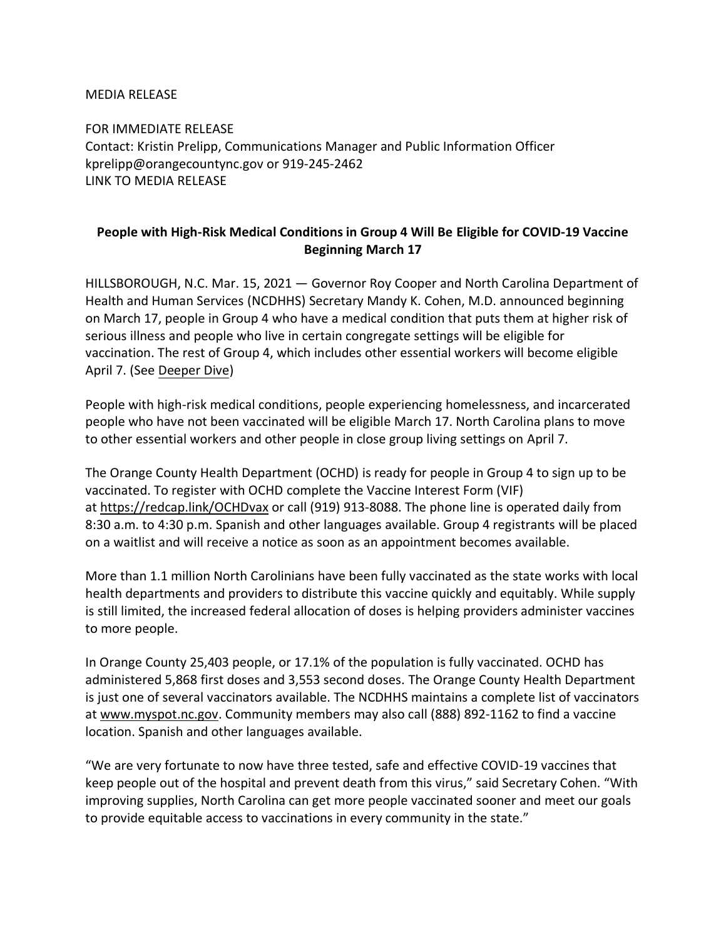MEDIA RELEASE

FOR IMMEDIATE RELEASE Contact: Kristin Prelipp, Communications Manager and Public Information Officer kprelipp@orangecountync.gov or 919-245-2462 [LINK TO MEDIA RELEASE](https://www.orangecountync.gov/DocumentCenter/View/15147/People-with-High-Risk-Medical-Conditions-in-Group-4-Will-Be-Eligible-for-COVID-19-Vaccine-Beginning-March-17-FINAL)

## **People with High-Risk Medical Conditions in Group 4 Will Be Eligible for COVID-19 Vaccine Beginning March 17**

HILLSBOROUGH, N.C. Mar. 15, 2021 ― Governor Roy Cooper and North Carolina Department of Health and Human Services (NCDHHS) Secretary Mandy K. Cohen, M.D. announced beginning on March 17, people in Group 4 who have a medical condition that puts them at higher risk of serious illness and people who live in certain congregate settings will be eligible for vaccination. The rest of Group 4, which includes other essential workers will become eligible April 7. (See [Deeper Dive\)](https://urldefense.com/v3/__https:/click.icptrack.com/icp/relay.php?r=39781839&msgid=487905&act=20YB&c=1346310&destination=https*3A*2F*2Fcovid19.ncdhhs.gov*2Fvaccines*2Ffind-your-spot-take-your-shot*2Fdeeper-dive-group-4&cf=13425&v=b4e05ddbeb282dc74bb4c21f2467ef71e51d13c4e9b00e121157b831f21152ba__;JSUlJSUl!!HYmSToo!IYLY3THAGsncUpZoaZFYImmcZVYPdE0eSlU59sqc52lkuI_gYbg4wL4elIFwc15eV1i9$)

People with high-risk medical conditions, people experiencing homelessness, and incarcerated people who have not been vaccinated will be eligible March 17. North Carolina plans to move to other essential workers and other people in close group living settings on April 7.

The Orange County Health Department (OCHD) is ready for people in Group 4 to sign up to be vaccinated. To register with OCHD complete the Vaccine Interest Form (VIF) at <https://redcap.link/OCHDvax> or call (919) 913-8088. The phone line is operated daily from 8:30 a.m. to 4:30 p.m. Spanish and other languages available. Group 4 registrants will be placed on a waitlist and will receive a notice as soon as an appointment becomes available.

More than 1.1 million North Carolinians have been fully vaccinated as the state works with local health departments and providers to distribute this vaccine quickly and equitably. While supply is still limited, the increased federal allocation of doses is helping providers administer vaccines to more people.

In Orange County 25,403 people, or 17.1% of the population is fully vaccinated. OCHD has administered 5,868 first doses and 3,553 second doses. The Orange County Health Department is just one of several vaccinators available. The NCDHHS maintains a complete list of vaccinators at [www.myspot.nc.gov.](https://www.myspot.nc.gov/) Community members may also call (888) 892-1162 to find a vaccine location. Spanish and other languages available.

"We are very fortunate to now have three tested, safe and effective COVID-19 vaccines that keep people out of the hospital and prevent death from this virus," said Secretary Cohen. "With improving supplies, North Carolina can get more people vaccinated sooner and meet our goals to provide equitable access to vaccinations in every community in the state."